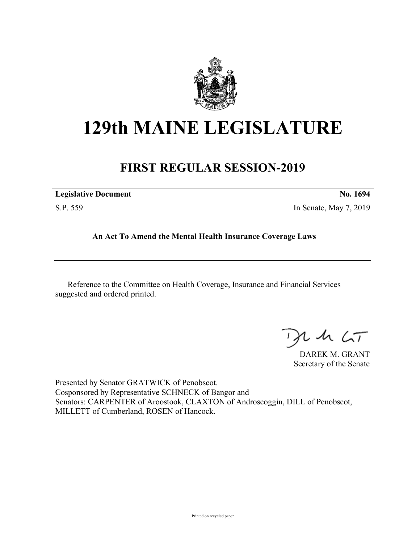

## **129th MAINE LEGISLATURE**

## **FIRST REGULAR SESSION-2019**

| <b>Legislative Document</b> | No. 1694               |
|-----------------------------|------------------------|
| S.P. 559                    | In Senate, May 7, 2019 |

**An Act To Amend the Mental Health Insurance Coverage Laws**

Reference to the Committee on Health Coverage, Insurance and Financial Services suggested and ordered printed.

 $425$ 

DAREK M. GRANT Secretary of the Senate

Presented by Senator GRATWICK of Penobscot. Cosponsored by Representative SCHNECK of Bangor and Senators: CARPENTER of Aroostook, CLAXTON of Androscoggin, DILL of Penobscot, MILLETT of Cumberland, ROSEN of Hancock.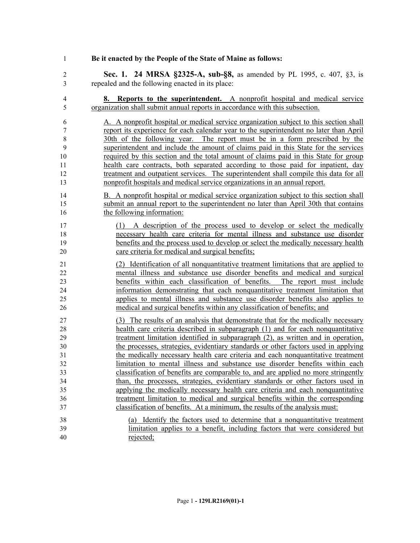**Be it enacted by the People of the State of Maine as follows:**

 **Sec. 1. 24 MRSA §2325-A, sub-§8,** as amended by PL 1995, c. 407, §3, is repealed and the following enacted in its place:

 **8. Reports to the superintendent.** A nonprofit hospital and medical service organization shall submit annual reports in accordance with this subsection.

 A. A nonprofit hospital or medical service organization subject to this section shall report its experience for each calendar year to the superintendent no later than April 30th of the following year. The report must be in a form prescribed by the superintendent and include the amount of claims paid in this State for the services required by this section and the total amount of claims paid in this State for group health care contracts, both separated according to those paid for inpatient, day treatment and outpatient services. The superintendent shall compile this data for all nonprofit hospitals and medical service organizations in an annual report.

- B. A nonprofit hospital or medical service organization subject to this section shall submit an annual report to the superintendent no later than April 30th that contains the following information:
- (1) A description of the process used to develop or select the medically necessary health care criteria for mental illness and substance use disorder benefits and the process used to develop or select the medically necessary health care criteria for medical and surgical benefits;
- (2) Identification of all nonquantitative treatment limitations that are applied to mental illness and substance use disorder benefits and medical and surgical benefits within each classification of benefits. The report must include information demonstrating that each nonquantitative treatment limitation that applies to mental illness and substance use disorder benefits also applies to medical and surgical benefits within any classification of benefits; and
- (3) The results of an analysis that demonstrate that for the medically necessary health care criteria described in subparagraph (1) and for each nonquantitative treatment limitation identified in subparagraph (2), as written and in operation, the processes, strategies, evidentiary standards or other factors used in applying the medically necessary health care criteria and each nonquantitative treatment limitation to mental illness and substance use disorder benefits within each classification of benefits are comparable to, and are applied no more stringently than, the processes, strategies, evidentiary standards or other factors used in applying the medically necessary health care criteria and each nonquantitative treatment limitation to medical and surgical benefits within the corresponding classification of benefits. At a minimum, the results of the analysis must:
- (a) Identify the factors used to determine that a nonquantitative treatment limitation applies to a benefit, including factors that were considered but rejected;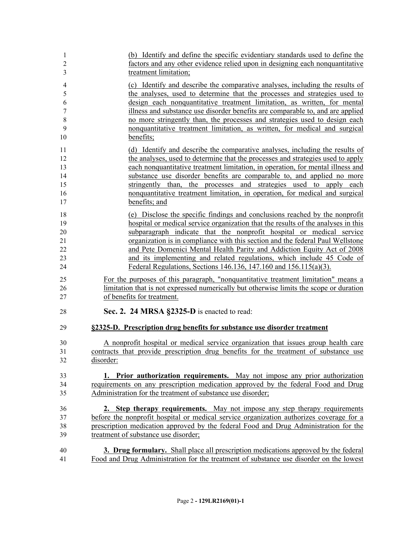| 1                | (b) Identify and define the specific evidentiary standards used to define the              |
|------------------|--------------------------------------------------------------------------------------------|
| $\overline{c}$   | factors and any other evidence relied upon in designing each nonquantitative               |
| 3                | treatment limitation;                                                                      |
| $\overline{4}$   | (c) Identify and describe the comparative analyses, including the results of               |
| 5                | the analyses, used to determine that the processes and strategies used to                  |
| 6                | design each nonquantitative treatment limitation, as written, for mental                   |
| $\boldsymbol{7}$ | illness and substance use disorder benefits are comparable to, and are applied             |
| 8                | no more stringently than, the processes and strategies used to design each                 |
| 9                | nonquantitative treatment limitation, as written, for medical and surgical                 |
| 10               | benefits;                                                                                  |
| 11               | (d) Identify and describe the comparative analyses, including the results of               |
| 12               | the analyses, used to determine that the processes and strategies used to apply            |
| 13               | each nonquantitative treatment limitation, in operation, for mental illness and            |
| 14               | substance use disorder benefits are comparable to, and applied no more                     |
| 15               | stringently than, the processes and strategies used to apply each                          |
| 16               | nonquantitative treatment limitation, in operation, for medical and surgical               |
| 17               | benefits; and                                                                              |
| 18               | (e) Disclose the specific findings and conclusions reached by the nonprofit                |
| 19               | hospital or medical service organization that the results of the analyses in this          |
| 20               | subparagraph indicate that the nonprofit hospital or medical service                       |
| 21               | organization is in compliance with this section and the federal Paul Wellstone             |
| 22               | and Pete Domenici Mental Health Parity and Addiction Equity Act of 2008                    |
| 23               | and its implementing and related regulations, which include 45 Code of                     |
| 24               | Federal Regulations, Sections 146.136, 147.160 and 156.115(a)(3).                          |
| 25               | For the purposes of this paragraph, "nonquantitative treatment limitation" means a         |
| 26               | limitation that is not expressed numerically but otherwise limits the scope or duration    |
| 27               | of benefits for treatment.                                                                 |
| 28               | Sec. 2. 24 MRSA §2325-D is enacted to read:                                                |
| 29               | §2325-D. Prescription drug benefits for substance use disorder treatment                   |
| 30               | A nonprofit hospital or medical service organization that issues group health care         |
| 31               | contracts that provide prescription drug benefits for the treatment of substance use       |
| 32               | disorder:                                                                                  |
| 33               | 1. Prior authorization requirements. May not impose any prior authorization                |
| 34               | requirements on any prescription medication approved by the federal Food and Drug          |
| 35               | Administration for the treatment of substance use disorder;                                |
| 36               | 2. Step therapy requirements. May not impose any step therapy requirements                 |
| 37               | before the nonprofit hospital or medical service organization authorizes coverage for a    |
| 38               | prescription medication approved by the federal Food and Drug Administration for the       |
| 39               | treatment of substance use disorder;                                                       |
| 40               | <b>3. Drug formulary.</b> Shall place all prescription medications approved by the federal |
| 41               | Food and Drug Administration for the treatment of substance use disorder on the lowest     |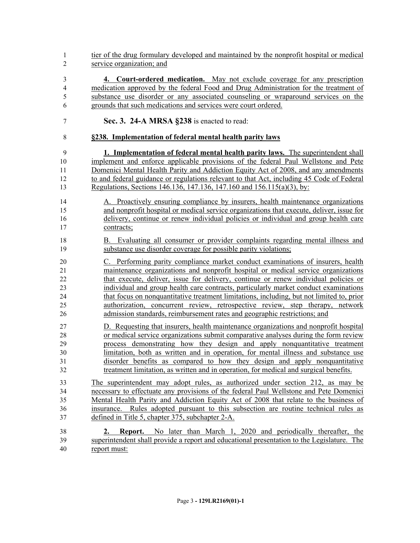- tier of the drug formulary developed and maintained by the nonprofit hospital or medical service organization; and
- **4. Court-ordered medication.** May not exclude coverage for any prescription medication approved by the federal Food and Drug Administration for the treatment of substance use disorder or any associated counseling or wraparound services on the grounds that such medications and services were court ordered.
- **Sec. 3. 24-A MRSA §238** is enacted to read:

## **§238. Implementation of federal mental health parity laws**

- **1. Implementation of federal mental health parity laws.** The superintendent shall implement and enforce applicable provisions of the federal Paul Wellstone and Pete Domenici Mental Health Parity and Addiction Equity Act of 2008, and any amendments to and federal guidance or regulations relevant to that Act, including 45 Code of Federal Regulations, Sections 146.136, 147.136, 147.160 and 156.115(a)(3), by:
- A. Proactively ensuring compliance by insurers, health maintenance organizations and nonprofit hospital or medical service organizations that execute, deliver, issue for delivery, continue or renew individual policies or individual and group health care contracts;
- B. Evaluating all consumer or provider complaints regarding mental illness and substance use disorder coverage for possible parity violations;
- C. Performing parity compliance market conduct examinations of insurers, health maintenance organizations and nonprofit hospital or medical service organizations that execute, deliver, issue for delivery, continue or renew individual policies or individual and group health care contracts, particularly market conduct examinations that focus on nonquantitative treatment limitations, including, but not limited to, prior authorization, concurrent review, retrospective review, step therapy, network admission standards, reimbursement rates and geographic restrictions; and
- D. Requesting that insurers, health maintenance organizations and nonprofit hospital or medical service organizations submit comparative analyses during the form review process demonstrating how they design and apply nonquantitative treatment limitation, both as written and in operation, for mental illness and substance use disorder benefits as compared to how they design and apply nonquantitative treatment limitation, as written and in operation, for medical and surgical benefits.
- The superintendent may adopt rules, as authorized under section 212, as may be necessary to effectuate any provisions of the federal Paul Wellstone and Pete Domenici Mental Health Parity and Addiction Equity Act of 2008 that relate to the business of insurance. Rules adopted pursuant to this subsection are routine technical rules as defined in Title 5, chapter 375, subchapter 2-A.
- **2. Report.** No later than March 1, 2020 and periodically thereafter, the superintendent shall provide a report and educational presentation to the Legislature. The report must: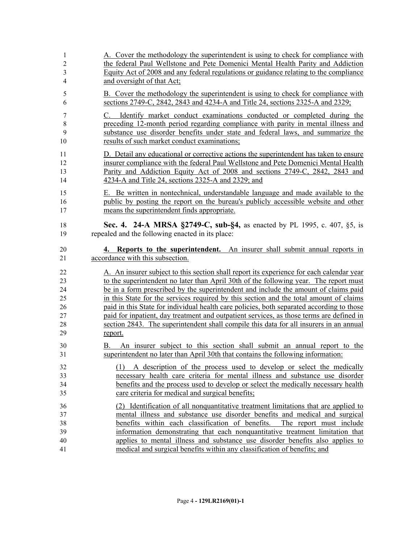| $\mathbf{1}$      | A. Cover the methodology the superintendent is using to check for compliance with                                                                                                                                                                                                                   |
|-------------------|-----------------------------------------------------------------------------------------------------------------------------------------------------------------------------------------------------------------------------------------------------------------------------------------------------|
| $\overline{2}$    | the federal Paul Wellstone and Pete Domenici Mental Health Parity and Addiction                                                                                                                                                                                                                     |
| 3                 | Equity Act of 2008 and any federal regulations or guidance relating to the compliance                                                                                                                                                                                                               |
| $\overline{4}$    | and oversight of that Act;                                                                                                                                                                                                                                                                          |
| 5                 | B. Cover the methodology the superintendent is using to check for compliance with                                                                                                                                                                                                                   |
| 6                 | sections 2749-C, 2842, 2843 and 4234-A and Title 24, sections 2325-A and 2329;                                                                                                                                                                                                                      |
| 7<br>8<br>9<br>10 | Identify market conduct examinations conducted or completed during the<br>C.<br>preceding 12-month period regarding compliance with parity in mental illness and<br>substance use disorder benefits under state and federal laws, and summarize the<br>results of such market conduct examinations; |
| 11                | D. Detail any educational or corrective actions the superintendent has taken to ensure                                                                                                                                                                                                              |
| 12                | insurer compliance with the federal Paul Wellstone and Pete Domenici Mental Health                                                                                                                                                                                                                  |
| 13                | Parity and Addiction Equity Act of 2008 and sections 2749-C, 2842, 2843 and                                                                                                                                                                                                                         |
| 14                | 4234-A and Title 24, sections 2325-A and 2329; and                                                                                                                                                                                                                                                  |
| 15                | E. Be written in nontechnical, understandable language and made available to the                                                                                                                                                                                                                    |
| 16                | public by posting the report on the bureau's publicly accessible website and other                                                                                                                                                                                                                  |
| 17                | means the superintendent finds appropriate.                                                                                                                                                                                                                                                         |
| 18                | Sec. 4. 24-A MRSA §2749-C, sub-§4, as enacted by PL 1995, c. 407, §5, is                                                                                                                                                                                                                            |
| 19                | repealed and the following enacted in its place:                                                                                                                                                                                                                                                    |
| 20                | 4. Reports to the superintendent. An insurer shall submit annual reports in                                                                                                                                                                                                                         |
| 21                | accordance with this subsection.                                                                                                                                                                                                                                                                    |
| 22                | A. An insurer subject to this section shall report its experience for each calendar year                                                                                                                                                                                                            |
| 23                | to the superintendent no later than April 30th of the following year. The report must                                                                                                                                                                                                               |
| 24                | be in a form prescribed by the superintendent and include the amount of claims paid                                                                                                                                                                                                                 |
| 25                | in this State for the services required by this section and the total amount of claims                                                                                                                                                                                                              |
| 26                | paid in this State for individual health care policies, both separated according to those                                                                                                                                                                                                           |
| 27                | paid for inpatient, day treatment and outpatient services, as those terms are defined in                                                                                                                                                                                                            |
| 28                | section 2843. The superintendent shall compile this data for all insurers in an annual                                                                                                                                                                                                              |
| 29                | report.                                                                                                                                                                                                                                                                                             |
| 30<br>31          | An insurer subject to this section shall submit an annual report to the<br>B.<br>superintendent no later than April 30th that contains the following information:                                                                                                                                   |
| 32                | (1) A description of the process used to develop or select the medically                                                                                                                                                                                                                            |
| 33                | necessary health care criteria for mental illness and substance use disorder                                                                                                                                                                                                                        |
| 34                | benefits and the process used to develop or select the medically necessary health                                                                                                                                                                                                                   |
| 35                | care criteria for medical and surgical benefits;                                                                                                                                                                                                                                                    |
| 36                | (2) Identification of all nonquantitative treatment limitations that are applied to                                                                                                                                                                                                                 |
| 37                | mental illness and substance use disorder benefits and medical and surgical                                                                                                                                                                                                                         |
| 38                | benefits within each classification of benefits. The report must include                                                                                                                                                                                                                            |
| 39                | information demonstrating that each nonquantitative treatment limitation that                                                                                                                                                                                                                       |
| 40                | applies to mental illness and substance use disorder benefits also applies to                                                                                                                                                                                                                       |
| 41                | medical and surgical benefits within any classification of benefits; and                                                                                                                                                                                                                            |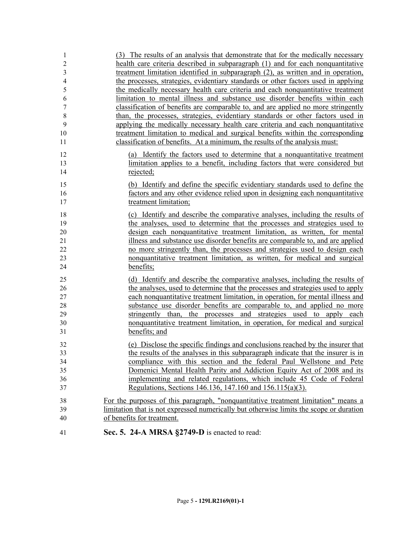| $\mathbf{1}$     | (3) The results of an analysis that demonstrate that for the medically necessary        |
|------------------|-----------------------------------------------------------------------------------------|
| $\overline{2}$   | health care criteria described in subparagraph (1) and for each nonquantitative         |
| 3                | treatment limitation identified in subparagraph (2), as written and in operation,       |
| $\overline{4}$   | the processes, strategies, evidentiary standards or other factors used in applying      |
| 5                | the medically necessary health care criteria and each nonquantitative treatment         |
| 6                | limitation to mental illness and substance use disorder benefits within each            |
| $\boldsymbol{7}$ | classification of benefits are comparable to, and are applied no more stringently       |
| $8\,$            | than, the processes, strategies, evidentiary standards or other factors used in         |
| 9                | applying the medically necessary health care criteria and each nonquantitative          |
| 10               | treatment limitation to medical and surgical benefits within the corresponding          |
| 11               | classification of benefits. At a minimum, the results of the analysis must:             |
| 12               | (a) Identify the factors used to determine that a nonquantitative treatment             |
| 13               | limitation applies to a benefit, including factors that were considered but             |
| 14               | rejected;                                                                               |
| 15               | (b) Identify and define the specific evidentiary standards used to define the           |
| 16               | factors and any other evidence relied upon in designing each nonquantitative            |
| 17               | treatment limitation;                                                                   |
| 18               | (c) Identify and describe the comparative analyses, including the results of            |
| 19               | the analyses, used to determine that the processes and strategies used to               |
| 20               | design each nonquantitative treatment limitation, as written, for mental                |
| 21               | illness and substance use disorder benefits are comparable to, and are applied          |
| 22               | no more stringently than, the processes and strategies used to design each              |
| 23               | nonquantitative treatment limitation, as written, for medical and surgical              |
| 24               | benefits;                                                                               |
| 25               | (d) Identify and describe the comparative analyses, including the results of            |
| 26               | the analyses, used to determine that the processes and strategies used to apply         |
| 27               | each nonquantitative treatment limitation, in operation, for mental illness and         |
| 28               | substance use disorder benefits are comparable to, and applied no more                  |
| 29               | stringently than, the processes and strategies used to apply each                       |
| 30               | nonquantitative treatment limitation, in operation, for medical and surgical            |
| 31               | benefits; and                                                                           |
| 32               | (e) Disclose the specific findings and conclusions reached by the insurer that          |
| 33               | the results of the analyses in this subparagraph indicate that the insurer is in        |
| 34               | compliance with this section and the federal Paul Wellstone and Pete                    |
| 35               | Domenici Mental Health Parity and Addiction Equity Act of 2008 and its                  |
| 36               | implementing and related regulations, which include 45 Code of Federal                  |
| 37               | Regulations, Sections 146.136, 147.160 and 156.115(a)(3).                               |
| 38               | For the purposes of this paragraph, "nonquantitative treatment limitation" means a      |
| 39               | limitation that is not expressed numerically but otherwise limits the scope or duration |
| 40               | of benefits for treatment.                                                              |
| 41               | Sec. 5. 24-A MRSA §2749-D is enacted to read:                                           |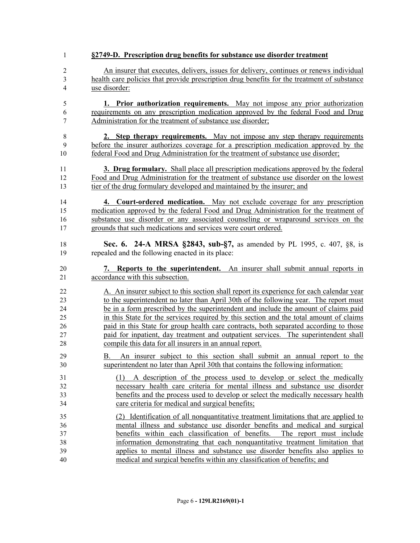| 1                    | §2749-D. Prescription drug benefits for substance use disorder treatment                                                                                                                                                                                                                             |
|----------------------|------------------------------------------------------------------------------------------------------------------------------------------------------------------------------------------------------------------------------------------------------------------------------------------------------|
| $\overline{c}$       | An insurer that executes, delivers, issues for delivery, continues or renews individual                                                                                                                                                                                                              |
| 3                    | health care policies that provide prescription drug benefits for the treatment of substance                                                                                                                                                                                                          |
| $\overline{4}$       | use disorder:                                                                                                                                                                                                                                                                                        |
| 5                    | 1. Prior authorization requirements. May not impose any prior authorization                                                                                                                                                                                                                          |
| 6                    | requirements on any prescription medication approved by the federal Food and Drug                                                                                                                                                                                                                    |
| 7                    | Administration for the treatment of substance use disorder;                                                                                                                                                                                                                                          |
| 8                    | 2. Step therapy requirements. May not impose any step therapy requirements                                                                                                                                                                                                                           |
| 9                    | before the insurer authorizes coverage for a prescription medication approved by the                                                                                                                                                                                                                 |
| 10                   | federal Food and Drug Administration for the treatment of substance use disorder;                                                                                                                                                                                                                    |
| 11                   | <b>3. Drug formulary.</b> Shall place all prescription medications approved by the federal                                                                                                                                                                                                           |
| 12                   | Food and Drug Administration for the treatment of substance use disorder on the lowest                                                                                                                                                                                                               |
| 13                   | tier of the drug formulary developed and maintained by the insurer; and                                                                                                                                                                                                                              |
| 14                   | 4. Court-ordered medication. May not exclude coverage for any prescription                                                                                                                                                                                                                           |
| 15                   | medication approved by the federal Food and Drug Administration for the treatment of                                                                                                                                                                                                                 |
| 16                   | substance use disorder or any associated counseling or wraparound services on the                                                                                                                                                                                                                    |
| 17                   | grounds that such medications and services were court ordered.                                                                                                                                                                                                                                       |
| 18                   | <b>Sec. 6. 24-A MRSA §2843, sub-§7, as amended by PL 1995, c. 407, §8, is</b>                                                                                                                                                                                                                        |
| 19                   | repealed and the following enacted in its place:                                                                                                                                                                                                                                                     |
|                      |                                                                                                                                                                                                                                                                                                      |
| 20                   | 7. Reports to the superintendent. An insurer shall submit annual reports in                                                                                                                                                                                                                          |
| 21                   | accordance with this subsection.                                                                                                                                                                                                                                                                     |
| 22                   | A. An insurer subject to this section shall report its experience for each calendar year                                                                                                                                                                                                             |
| 23                   | to the superintendent no later than April 30th of the following year. The report must                                                                                                                                                                                                                |
| 24                   | be in a form prescribed by the superintendent and include the amount of claims paid                                                                                                                                                                                                                  |
| 25                   | in this State for the services required by this section and the total amount of claims                                                                                                                                                                                                               |
| 26                   | paid in this State for group health care contracts, both separated according to those                                                                                                                                                                                                                |
| 27                   | paid for inpatient, day treatment and outpatient services. The superintendent shall                                                                                                                                                                                                                  |
| 28                   | compile this data for all insurers in an annual report.                                                                                                                                                                                                                                              |
| 29                   | B. An insurer subject to this section shall submit an annual report to the                                                                                                                                                                                                                           |
| 30                   | superintendent no later than April 30th that contains the following information:                                                                                                                                                                                                                     |
| 31<br>32<br>33<br>34 | A description of the process used to develop or select the medically<br>(1)<br>necessary health care criteria for mental illness and substance use disorder<br>benefits and the process used to develop or select the medically necessary health<br>care criteria for medical and surgical benefits; |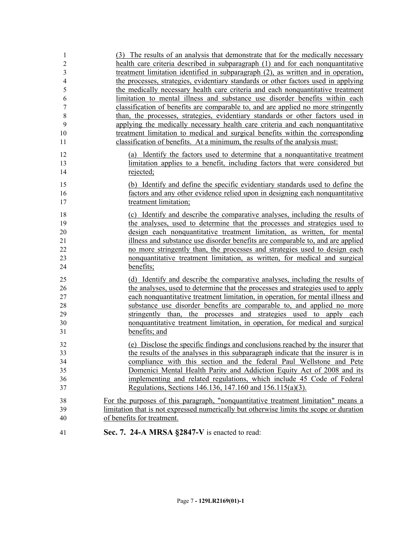| 41                        | Sec. 7. 24-A MRSA §2847-V is enacted to read:                                                                                                                     |
|---------------------------|-------------------------------------------------------------------------------------------------------------------------------------------------------------------|
| 40                        | of benefits for treatment.                                                                                                                                        |
| 39                        | limitation that is not expressed numerically but otherwise limits the scope or duration                                                                           |
| 38                        | For the purposes of this paragraph, "nonquantitative treatment limitation" means a                                                                                |
| 37                        | Regulations, Sections 146.136, 147.160 and 156.115(a)(3).                                                                                                         |
| 36                        | implementing and related regulations, which include 45 Code of Federal                                                                                            |
| 35                        | Domenici Mental Health Parity and Addiction Equity Act of 2008 and its                                                                                            |
| 34                        | compliance with this section and the federal Paul Wellstone and Pete                                                                                              |
| 33                        | the results of the analyses in this subparagraph indicate that the insurer is in                                                                                  |
| 32                        | (e) Disclose the specific findings and conclusions reached by the insurer that                                                                                    |
| 31                        | benefits; and                                                                                                                                                     |
| 30                        | nonquantitative treatment limitation, in operation, for medical and surgical                                                                                      |
| 29                        | stringently than, the processes and strategies used to apply each                                                                                                 |
| 28                        | substance use disorder benefits are comparable to, and applied no more                                                                                            |
| 27                        | each nonquantitative treatment limitation, in operation, for mental illness and                                                                                   |
| 26                        | the analyses, used to determine that the processes and strategies used to apply                                                                                   |
| 25                        | (d) Identify and describe the comparative analyses, including the results of                                                                                      |
|                           |                                                                                                                                                                   |
| 23<br>24                  | nonquantitative treatment limitation, as written, for medical and surgical<br>benefits;                                                                           |
| 22                        | no more stringently than, the processes and strategies used to design each                                                                                        |
| 21                        | illness and substance use disorder benefits are comparable to, and are applied                                                                                    |
| 20                        | design each nonquantitative treatment limitation, as written, for mental                                                                                          |
| 19                        | the analyses, used to determine that the processes and strategies used to                                                                                         |
| 18                        | (c) Identify and describe the comparative analyses, including the results of                                                                                      |
| 17                        | treatment limitation;                                                                                                                                             |
| 16                        | factors and any other evidence relied upon in designing each nonquantitative                                                                                      |
| 15                        | (b) Identify and define the specific evidentiary standards used to define the                                                                                     |
|                           |                                                                                                                                                                   |
| 14                        | rejected;                                                                                                                                                         |
| 12<br>13                  | (a) Identify the factors used to determine that a nonquantitative treatment<br>limitation applies to a benefit, including factors that were considered but        |
|                           |                                                                                                                                                                   |
| 11                        | classification of benefits. At a minimum, the results of the analysis must:                                                                                       |
| 10                        | treatment limitation to medical and surgical benefits within the corresponding                                                                                    |
| 9                         | applying the medically necessary health care criteria and each nonquantitative                                                                                    |
| $\boldsymbol{7}$<br>$8\,$ | than, the processes, strategies, evidentiary standards or other factors used in                                                                                   |
| 6                         | limitation to mental illness and substance use disorder benefits within each<br>classification of benefits are comparable to, and are applied no more stringently |
| 5                         | the medically necessary health care criteria and each nonquantitative treatment                                                                                   |
| $\overline{4}$            | the processes, strategies, evidentiary standards or other factors used in applying                                                                                |
| 3                         | treatment limitation identified in subparagraph (2), as written and in operation,                                                                                 |
| $\boldsymbol{2}$          | health care criteria described in subparagraph (1) and for each nonquantitative                                                                                   |
| 1                         | (3) The results of an analysis that demonstrate that for the medically necessary                                                                                  |
|                           |                                                                                                                                                                   |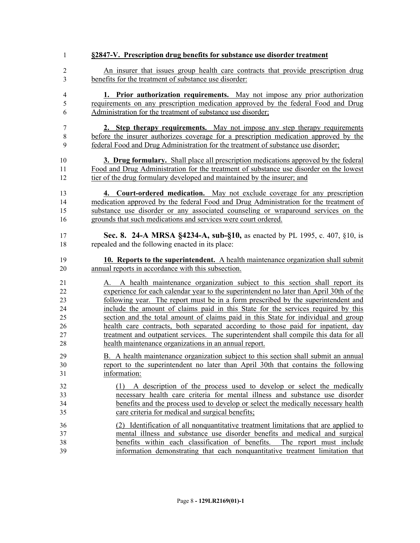| $\mathbf{1}$   | §2847-V. Prescription drug benefits for substance use disorder treatment                   |
|----------------|--------------------------------------------------------------------------------------------|
| $\overline{2}$ | An insurer that issues group health care contracts that provide prescription drug          |
| 3              | benefits for the treatment of substance use disorder:                                      |
| $\overline{4}$ | 1. Prior authorization requirements. May not impose any prior authorization                |
| $\mathfrak s$  | requirements on any prescription medication approved by the federal Food and Drug          |
| 6              | Administration for the treatment of substance use disorder;                                |
| 7              | 2. Step therapy requirements. May not impose any step therapy requirements                 |
| $\,$ $\,$      | before the insurer authorizes coverage for a prescription medication approved by the       |
| 9              | federal Food and Drug Administration for the treatment of substance use disorder;          |
| 10             | <b>3. Drug formulary.</b> Shall place all prescription medications approved by the federal |
| 11             | Food and Drug Administration for the treatment of substance use disorder on the lowest     |
| 12             | tier of the drug formulary developed and maintained by the insurer; and                    |
| 13             | 4. Court-ordered medication. May not exclude coverage for any prescription                 |
| 14             | medication approved by the federal Food and Drug Administration for the treatment of       |
| 15             | substance use disorder or any associated counseling or wraparound services on the          |
| 16             | grounds that such medications and services were court ordered.                             |
| 17             | Sec. 8. 24-A MRSA §4234-A, sub-§10, as enacted by PL 1995, c. 407, §10, is                 |
| 18             | repealed and the following enacted in its place:                                           |
| 19             | <b>10. Reports to the superintendent.</b> A health maintenance organization shall submit   |
| 20             | annual reports in accordance with this subsection.                                         |
| 21             | A health maintenance organization subject to this section shall report its                 |
| 22             | experience for each calendar year to the superintendent no later than April 30th of the    |
| 23             | following year. The report must be in a form prescribed by the superintendent and          |
| 24             | include the amount of claims paid in this State for the services required by this          |
| 25             | section and the total amount of claims paid in this State for individual and group         |
| 26             | health care contracts, both separated according to those paid for inpatient, day           |
| 27             | treatment and outpatient services. The superintendent shall compile this data for all      |
| 28             | health maintenance organizations in an annual report.                                      |
| 29             | B. A health maintenance organization subject to this section shall submit an annual        |
| 30             | report to the superintendent no later than April 30th that contains the following          |
| 31             | information:                                                                               |
| 32             | (1) A description of the process used to develop or select the medically                   |
| 33             | necessary health care criteria for mental illness and substance use disorder               |
| 34             | benefits and the process used to develop or select the medically necessary health          |
| 35             | care criteria for medical and surgical benefits;                                           |
| 36             | (2) Identification of all nonquantitative treatment limitations that are applied to        |
| 37             | mental illness and substance use disorder benefits and medical and surgical                |
| 38             | benefits within each classification of benefits. The report must include                   |
| 39             | information demonstrating that each nonquantitative treatment limitation that              |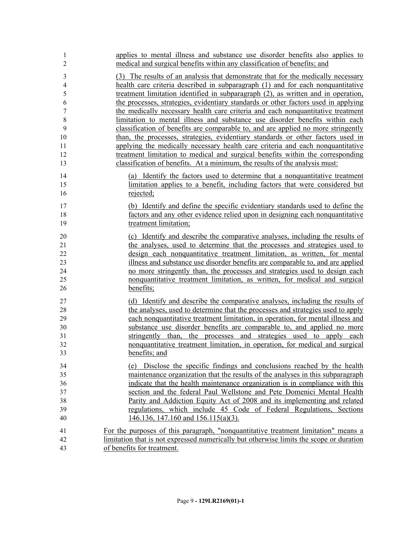| 1<br>$\overline{2}$ | applies to mental illness and substance use disorder benefits also applies to<br>medical and surgical benefits within any classification of benefits; and               |
|---------------------|-------------------------------------------------------------------------------------------------------------------------------------------------------------------------|
| 3                   | (3) The results of an analysis that demonstrate that for the medically necessary                                                                                        |
| 4                   | health care criteria described in subparagraph (1) and for each nonquantitative                                                                                         |
| 5<br>6              | treatment limitation identified in subparagraph (2), as written and in operation,<br>the processes, strategies, evidentiary standards or other factors used in applying |
| $\boldsymbol{7}$    | the medically necessary health care criteria and each nonquantitative treatment                                                                                         |
| $8\,$               | limitation to mental illness and substance use disorder benefits within each                                                                                            |
| 9                   | classification of benefits are comparable to, and are applied no more stringently                                                                                       |
| 10                  | than, the processes, strategies, evidentiary standards or other factors used in                                                                                         |
| 11                  | applying the medically necessary health care criteria and each nonquantitative                                                                                          |
| 12                  | treatment limitation to medical and surgical benefits within the corresponding                                                                                          |
| 13                  | classification of benefits. At a minimum, the results of the analysis must:                                                                                             |
| 14                  | (a) Identify the factors used to determine that a nonquantitative treatment                                                                                             |
| 15                  | limitation applies to a benefit, including factors that were considered but                                                                                             |
| 16                  | rejected;                                                                                                                                                               |
| 17                  | (b) Identify and define the specific evidentiary standards used to define the                                                                                           |
| 18                  | factors and any other evidence relied upon in designing each nonquantitative                                                                                            |
| 19                  | treatment limitation;                                                                                                                                                   |
| 20                  | (c) Identify and describe the comparative analyses, including the results of                                                                                            |
| 21                  | the analyses, used to determine that the processes and strategies used to                                                                                               |
| 22                  | design each nonquantitative treatment limitation, as written, for mental                                                                                                |
| 23                  | illness and substance use disorder benefits are comparable to, and are applied                                                                                          |
| 24                  | no more stringently than, the processes and strategies used to design each                                                                                              |
| 25                  | nonquantitative treatment limitation, as written, for medical and surgical                                                                                              |
| 26                  | benefits;                                                                                                                                                               |
| 27                  | (d) Identify and describe the comparative analyses, including the results of                                                                                            |
| 28                  | the analyses, used to determine that the processes and strategies used to apply                                                                                         |
| 29<br>30            | each nonquantitative treatment limitation, in operation, for mental illness and<br>substance use disorder benefits are comparable to, and applied no more               |
| 31                  | stringently than, the processes and strategies used to apply each                                                                                                       |
| 32                  | nonquantitative treatment limitation, in operation, for medical and surgical                                                                                            |
| 33                  | benefits; and                                                                                                                                                           |
| 34                  | (e) Disclose the specific findings and conclusions reached by the health                                                                                                |
| 35                  | maintenance organization that the results of the analyses in this subparagraph                                                                                          |
| 36                  | indicate that the health maintenance organization is in compliance with this                                                                                            |
| 37                  | section and the federal Paul Wellstone and Pete Domenici Mental Health                                                                                                  |
| 38                  | Parity and Addiction Equity Act of 2008 and its implementing and related                                                                                                |
| 39                  | regulations, which include 45 Code of Federal Regulations, Sections                                                                                                     |
| 40                  | $146.136$ , 147.160 and 156.115(a)(3).                                                                                                                                  |
| 41                  | For the purposes of this paragraph, "nonquantitative treatment limitation" means a                                                                                      |
| 42                  | limitation that is not expressed numerically but otherwise limits the scope or duration                                                                                 |
| 43                  | of benefits for treatment.                                                                                                                                              |